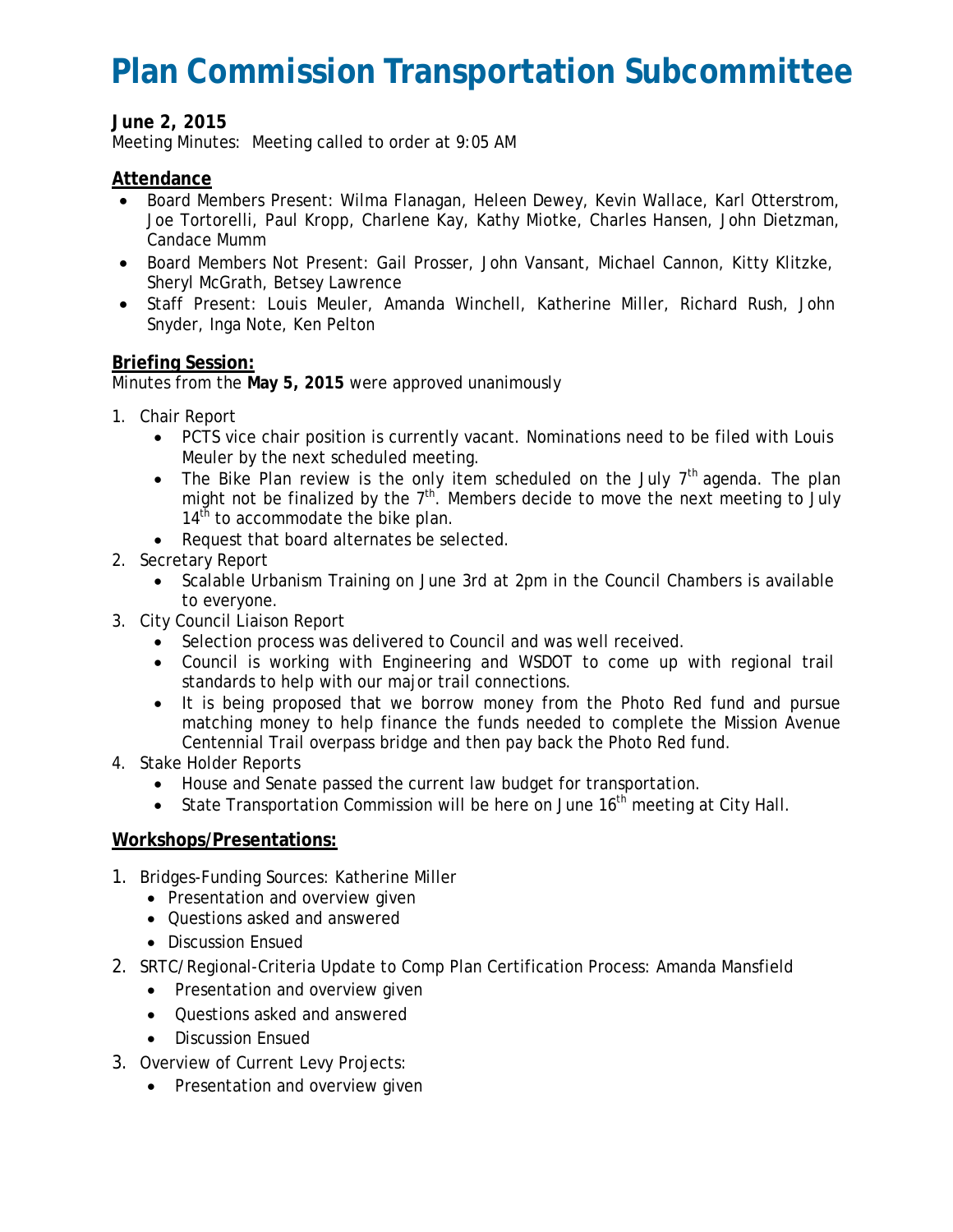# **Plan Commission Transportation Subcommittee**

## **June 2, 2015**

Meeting Minutes: Meeting called to order at 9:05 AM

### **Attendance**

- Board Members Present: Wilma Flanagan, Heleen Dewey, Kevin Wallace, Karl Otterstrom, Joe Tortorelli, Paul Kropp, Charlene Kay, Kathy Miotke, Charles Hansen, John Dietzman, Candace Mumm
- Board Members Not Present: Gail Prosser, John Vansant, Michael Cannon, Kitty Klitzke, Sheryl McGrath, Betsey Lawrence
- Staff Present: Louis Meuler, Amanda Winchell, Katherine Miller, Richard Rush, John Snyder, Inga Note, Ken Pelton

### **Briefing Session:**

Minutes from the **May 5, 2015** were approved unanimously

- 1. Chair Report
	- PCTS vice chair position is currently vacant. Nominations need to be filed with Louis Meuler by the next scheduled meeting.
	- The Bike Plan review is the only item scheduled on the July  $7<sup>th</sup>$  agenda. The plan might not be finalized by the  $7<sup>th</sup>$ . Members decide to move the next meeting to July  $14<sup>th</sup>$  to accommodate the bike plan.
	- Request that board alternates be selected.
- 2. Secretary Report
	- Scalable Urbanism Training on June 3rd at 2pm in the Council Chambers is available to everyone.
- 3. City Council Liaison Report
	- Selection process was delivered to Council and was well received.
	- Council is working with Engineering and WSDOT to come up with regional trail standards to help with our major trail connections.
	- It is being proposed that we borrow money from the Photo Red fund and pursue matching money to help finance the funds needed to complete the Mission Avenue Centennial Trail overpass bridge and then pay back the Photo Red fund.
- 4. Stake Holder Reports
	- House and Senate passed the current law budget for transportation.
	- State Transportation Commission will be here on June  $16<sup>th</sup>$  meeting at City Hall.

### **Workshops/Presentations:**

- 1. Bridges-Funding Sources: Katherine Miller
	- Presentation and overview given
	- Questions asked and answered
	- Discussion Ensued
- 2. SRTC/Regional-Criteria Update to Comp Plan Certification Process: Amanda Mansfield
	- Presentation and overview given
	- Questions asked and answered
	- Discussion Ensued
- 3. Overview of Current Levy Projects:
	- Presentation and overview given